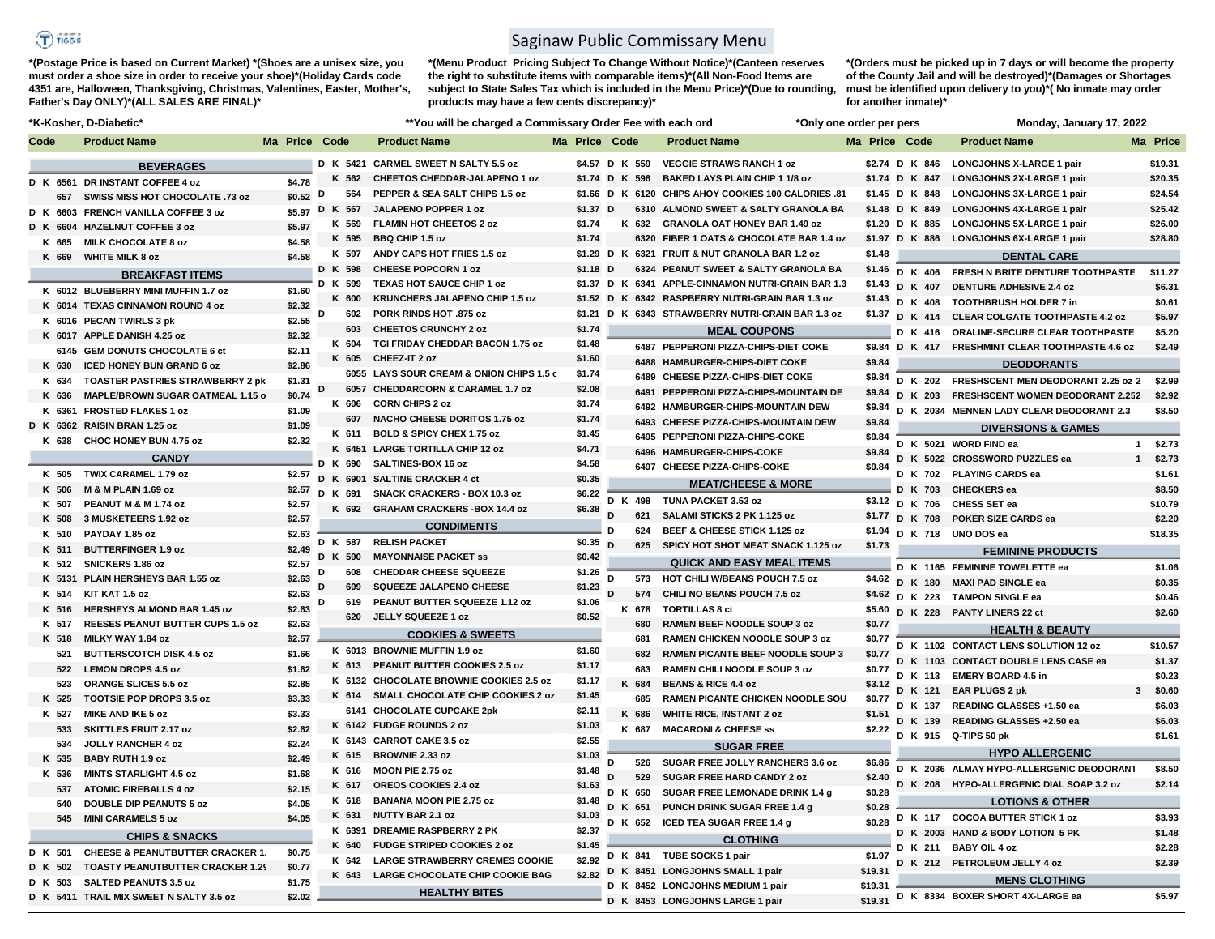## $\bigcirc$  risss

**\*(Postage Price is based on Current Market) \*(Shoes are a unisex size, you must order a shoe size in order to receive your shoe)\*(Holiday Cards code 4351 are, Halloween, Thanksgiving, Christmas, Valentines, Easter, Mother's, Father's Day ONLY)\*(ALL SALES ARE FINAL)\***

## Saginaw Public Commissary Menu

subject to State Sales Tax which is included in the Menu Price)\*(Due to rounding, must be identified upon delivery to you)\*( No inmate may order **\*(Menu Product Pricing Subject To Change Without Notice)\*(Canteen reserves the right to substitute items with comparable items)\*(All Non-Food Items are products may have a few cents discrepancy)\*** 

**\*(Orders must be picked up in 7 days or will become the property of the County Jail and will be destroyed)\*(Damages or Shortages for another inmate)\***

| *K-Kosher, D-Diabetic* |                                             |                  |                |        | **You will be charged a Commissary Order Fee with each ord |               |                |        |         |                                                     | *Only one order per pers |                    |                 | Monday, January 17, 2022                                 |            |
|------------------------|---------------------------------------------|------------------|----------------|--------|------------------------------------------------------------|---------------|----------------|--------|---------|-----------------------------------------------------|--------------------------|--------------------|-----------------|----------------------------------------------------------|------------|
| Code                   | <b>Product Name</b>                         | Ma Price Code    |                |        | <b>Product Name</b>                                        | Ma Price Code |                |        |         | <b>Product Name</b>                                 |                          |                    | Ma Price Code   | <b>Product Name</b>                                      | Ma Price   |
|                        | <b>BEVERAGES</b>                            |                  |                |        | D K 5421 CARMEL SWEET N SALTY 5.5 oz                       |               | \$4.57 D K 559 |        |         | <b>VEGGIE STRAWS RANCH 1 oz</b>                     |                          |                    |                 | \$2.74 D K 846 LONGJOHNS X-LARGE 1 pair                  | \$19.31    |
|                        | D K 6561 DR INSTANT COFFEE 4 oz             | \$4.78           | K 562          |        | CHEETOS CHEDDAR-JALAPENO 1 oz                              |               | \$1.74 D K 596 |        |         | <b>BAKED LAYS PLAIN CHIP 1 1/8 oz</b>               |                          |                    | \$1.74 D K 847  | <b>LONGJOHNS 2X-LARGE 1 pair</b>                         | \$20.35    |
| 657                    | SWISS MISS HOT CHOCOLATE .73 oz             | $$0.52$ D        |                | 564    | PEPPER & SEA SALT CHIPS 1.5 oz                             |               |                |        |         | \$1.66 D K 6120 CHIPS AHOY COOKIES 100 CALORIES .81 |                          |                    |                 | \$1.45 D K 848 LONGJOHNS 3X-LARGE 1 pair                 | \$24.54    |
|                        | D K 6603 FRENCH VANILLA COFFEE 3 oz         |                  | \$5.97 D K 567 |        | JALAPENO POPPER 1 oz                                       |               | \$1.37 D       |        |         | 6310 ALMOND SWEET & SALTY GRANOLA BA                |                          |                    | \$1.48 D K 849  | <b>LONGJOHNS 4X-LARGE 1 pair</b>                         | \$25.42    |
| D K 6604               | <b>HAZELNUT COFFEE 3 oz</b>                 | \$5.97           | K 569          |        | FLAMIN HOT CHEETOS 2 oz                                    |               | \$1.74         |        | K 632   | <b>GRANOLA OAT HONEY BAR 1.49 oz</b>                |                          |                    | \$1.20 D K 885  | <b>LONGJOHNS 5X-LARGE 1 pair</b>                         | \$26.00    |
| K 665                  | MILK CHOCOLATE 8 oz                         | \$4.58           | K 595          |        | <b>BBQ CHIP 1.5 oz</b>                                     |               | \$1.74         |        |         | 6320 FIBER 1 OATS & CHOCOLATE BAR 1.4 oz            |                          |                    |                 | \$1.97 D K 886 LONGJOHNS 6X-LARGE 1 pair                 | \$28.80    |
| K 669                  | <b>WHITE MILK 8 oz</b>                      | \$4.58           | K 597          |        | ANDY CAPS HOT FRIES 1.5 oz                                 |               |                |        |         | \$1.29 D K 6321 FRUIT & NUT GRANOLA BAR 1.2 oz      |                          | \$1.48             |                 | <b>DENTAL CARE</b>                                       |            |
|                        | <b>BREAKFAST ITEMS</b>                      |                  | D K 598        |        | <b>CHEESE POPCORN 1 oz</b>                                 |               | $$1.18$ D      |        |         | 6324 PEANUT SWEET & SALTY GRANOLA BA                |                          |                    | \$1.46 D K 406  | FRESH N BRITE DENTURE TOOTHPASTE                         | \$11.27    |
|                        | K 6012 BLUEBERRY MINI MUFFIN 1.7 oz         |                  | D K 599        |        | TEXAS HOT SAUCE CHIP 1 oz                                  |               | \$1.37 D K     |        |         | 6341 APPLE-CINNAMON NUTRI-GRAIN BAR 1.3             |                          |                    | \$1.43 D K 407  | <b>DENTURE ADHESIVE 2.4 oz</b>                           | \$6.31     |
|                        |                                             | \$1.60           | K 600          |        | <b>KRUNCHERS JALAPENO CHIP 1.5 oz</b>                      |               | $$1.52$ D      | K      |         | 6342 RASPBERRY NUTRI-GRAIN BAR 1.3 oz               |                          |                    | $$1.43$ D K 408 | TOOTHBRUSH HOLDER 7 in                                   | \$0.61     |
|                        | K 6014 TEXAS CINNAMON ROUND 4 oz            | \$2.32<br>\$2.55 | D              | 602    | <b>PORK RINDS HOT .875 oz</b>                              |               | \$1.21         | к<br>D |         | 6343 STRAWBERRY NUTRI-GRAIN BAR 1.3 oz              |                          |                    |                 | \$1.37 D K 414 CLEAR COLGATE TOOTHPASTE 4.2 oz           | \$5.97     |
|                        | K 6016 PECAN TWIRLS 3 pk                    | \$2.32           |                | 603    | <b>CHEETOS CRUNCHY 2 oz</b>                                |               | \$1.74         |        |         | <b>MEAL COUPONS</b>                                 |                          |                    | D K 416         | ORALINE-SECURE CLEAR TOOTHPASTE                          | \$5.20     |
|                        | K 6017 APPLE DANISH 4.25 oz                 |                  | K 604          |        | TGI FRIDAY CHEDDAR BACON 1.75 oz                           |               | \$1.48         |        |         | 6487 PEPPERONI PIZZA-CHIPS-DIET COKE                |                          |                    |                 | \$9.84 D K 417 FRESHMINT CLEAR TOOTHPASTE 4.6 oz         | \$2.49     |
|                        | 6145 GEM DONUTS CHOCOLATE 6 ct              | \$2.11<br>\$2.86 | K 605          |        | CHEEZ-IT 2 oz                                              |               | \$1.60         |        |         | 6488 HAMBURGER-CHIPS-DIET COKE                      |                          | \$9.84             |                 | <b>DEODORANTS</b>                                        |            |
| K 630                  | <b>ICED HONEY BUN GRAND 6 oz</b>            |                  |                |        | 6055 LAYS SOUR CREAM & ONION CHIPS 1.5 c                   |               | \$1.74         |        |         | 6489 CHEESE PIZZA-CHIPS-DIET COKE                   |                          |                    |                 |                                                          |            |
| K 634                  | <b>TOASTER PASTRIES STRAWBERRY 2 pk</b>     | \$1.31           | D              |        | 6057 CHEDDARCORN & CARAMEL 1.7 oz                          |               | \$2.08         |        |         | 6491 PEPPERONI PIZZA-CHIPS-MOUNTAIN DE              |                          | \$9.84             |                 | \$9.84 D K 202 FRESHSCENT MEN DEODORANT 2.25 oz 2 \$2.99 |            |
| K 636                  | MAPLE/BROWN SUGAR OATMEAL 1.15 o            | \$0.74           | K 606          |        | <b>CORN CHIPS 2 oz</b>                                     |               | \$1.74         |        |         | 6492 HAMBURGER-CHIPS-MOUNTAIN DEW                   |                          | \$9.84             |                 | D K 203 FRESHSCENT WOMEN DEODORANT 2.252                 | \$2.92     |
|                        | K 6361 FROSTED FLAKES 1 oz                  | \$1.09           |                | 607    | NACHO CHEESE DORITOS 1.75 oz                               |               | \$1.74         |        |         | 6493 CHEESE PIZZA-CHIPS-MOUNTAIN DEW                |                          | \$9.84             |                 | D K 2034 MENNEN LADY CLEAR DEODORANT 2.3                 | \$8.50     |
|                        | D K 6362 RAISIN BRAN 1.25 oz                | \$1.09           | K 611          |        | BOLD & SPICY CHEX 1.75 oz                                  |               | \$1.45         |        |         | 6495 PEPPERONI PIZZA-CHIPS-COKE                     |                          | \$9.84             |                 | <b>DIVERSIONS &amp; GAMES</b>                            |            |
| K 638                  | CHOC HONEY BUN 4.75 oz                      | \$2.32           |                | K 6451 | <b>LARGE TORTILLA CHIP 12 oz</b>                           |               | \$4.71         |        |         | 6496 HAMBURGER-CHIPS-COKE                           |                          | \$9.84             |                 | D K 5021 WORD FIND ea                                    | $1$ \$2.73 |
|                        | <b>CANDY</b>                                |                  | D K 690        |        | SALTINES-BOX 16 oz                                         |               | \$4.58         |        |         | 6497 CHEESE PIZZA-CHIPS-COKE                        |                          | \$9.84             |                 | D K 5022 CROSSWORD PUZZLES ea                            | $1$ \$2.73 |
| K 505                  | TWIX CARAMEL 1.79 oz                        | \$2.57           | D K 6901       |        | <b>SALTINE CRACKER 4 ct</b>                                |               | \$0.35         |        |         |                                                     |                          |                    |                 | D K 702 PLAYING CARDS ea                                 | \$1.61     |
| K 506                  | M & M PLAIN 1.69 oz                         | \$2.57           | D K 691        |        | SNACK CRACKERS - BOX 10.3 oz                               |               | \$6.22         |        |         | <b>MEAT/CHEESE &amp; MORE</b>                       |                          |                    |                 | D K 703 CHECKERS ea                                      | \$8.50     |
| K 507                  | PEANUT M & M 1.74 oz                        | \$2.57           |                | K 692  | <b>GRAHAM CRACKERS - BOX 14.4 oz</b>                       |               | \$6.38         |        | D K 498 | TUNA PACKET 3.53 oz                                 |                          |                    |                 | \$3.12 D K 706 CHESS SET ea                              | \$10.79    |
| K 508                  | 3 MUSKETEERS 1.92 oz                        | \$2.57           |                |        | <b>CONDIMENTS</b>                                          |               |                | D      | 621     | SALAMI STICKS 2 PK 1.125 oz                         |                          |                    |                 | \$1.77 D K 708 POKER SIZE CARDS ea                       | \$2.20     |
| K 510                  | PAYDAY 1.85 oz                              | \$2.63           | D K 587        |        | <b>RELISH PACKET</b>                                       |               | \$0.35         | D      | 624     | BEEF & CHEESE STICK 1.125 oz                        |                          | \$1.94             |                 | D K 718 UNO DOS ea                                       | \$18.35    |
| K 511                  | <b>BUTTERFINGER 1.9 oz</b>                  | \$2.49           | D K 590        |        | <b>MAYONNAISE PACKET SS</b>                                |               | \$0.42         | D      | 625     | SPICY HOT SHOT MEAT SNACK 1.125 oz                  |                          | \$1.73             |                 | <b>FEMININE PRODUCTS</b>                                 |            |
| K 512                  | SNICKERS 1.86 oz                            | \$2.57           | D              | 608    | <b>CHEDDAR CHEESE SQUEEZE</b>                              |               | \$1.26         |        |         | <b>QUICK AND EASY MEAL ITEMS</b>                    |                          |                    |                 | D K 1165 FEMININE TOWELETTE ea                           | \$1.06     |
|                        | K 5131 PLAIN HERSHEYS BAR 1.55 oz           | \$2.63           |                | 609    | <b>SQUEEZE JALAPENO CHEESE</b>                             |               | \$1.23         | D      |         | 573 HOT CHILI W/BEANS POUCH 7.5 oz                  |                          |                    |                 | \$4.62 D K 180 MAXI PAD SINGLE ea                        | \$0.35     |
| K 514                  | KIT KAT 1.5 oz                              | \$2.63           | D              | 619    | PEANUT BUTTER SQUEEZE 1.12 oz                              |               | \$1.06         | D      | 574     | CHILI NO BEANS POUCH 7.5 oz                         |                          |                    |                 | \$4.62 D K 223 TAMPON SINGLE ea                          | \$0.46     |
| K 516                  | HERSHEYS ALMOND BAR 1.45 oz                 | \$2.63           |                | 620    | JELLY SQUEEZE 1 oz                                         |               |                |        | K 678   | <b>TORTILLAS 8 ct</b>                               |                          | \$5.60             |                 | D K 228 PANTY LINERS 22 ct                               | \$2.60     |
| K 517                  | REESES PEANUT BUTTER CUPS 1.5 oz            | \$2.63           |                |        |                                                            |               | \$0.52         |        | 680     | RAMEN BEEF NOODLE SOUP 3 oz                         |                          | \$0.77             |                 | <b>HEALTH &amp; BEAUTY</b>                               |            |
| K 518                  | MILKY WAY 1.84 oz                           | \$2.57           |                |        | <b>COOKIES &amp; SWEETS</b>                                |               |                |        | 681     | RAMEN CHICKEN NOODLE SOUP 3 oz                      |                          | \$0.77             |                 | D K 1102 CONTACT LENS SOLUTION 12 oz                     | \$10.57    |
| 521                    | <b>BUTTERSCOTCH DISK 4.5 oz</b>             | \$1.66           |                |        | K 6013 BROWNIE MUFFIN 1.9 oz                               |               | \$1.60         |        | 682     | RAMEN PICANTE BEEF NOODLE SOUP 3                    |                          | \$0.77             |                 | D K 1103 CONTACT DOUBLE LENS CASE ea                     | \$1.37     |
| 522                    | <b>LEMON DROPS 4.5 oz</b>                   | \$1.62           | K 613          |        | PEANUT BUTTER COOKIES 2.5 oz                               |               | \$1.17         |        | 683     | RAMEN CHILI NOODLE SOUP 3 oz                        |                          | \$0.77             |                 | D K 113 EMERY BOARD 4.5 in                               | \$0.23     |
| 523                    | <b>ORANGE SLICES 5.5 oz</b>                 | \$2.85           |                |        | K 6132 CHOCOLATE BROWNIE COOKIES 2.5 oz                    |               | \$1.17         |        | K 684   | <b>BEANS &amp; RICE 4.4 oz</b>                      |                          | \$3.12             |                 | D K 121 EAR PLUGS 2 pk                                   | $3$ \$0.60 |
| K 525                  | TOOTSIE POP DROPS 3.5 oz                    | \$3.33           |                |        | K 614 SMALL CHOCOLATE CHIP COOKIES 2 oz                    |               | \$1.45         |        | 685     | RAMEN PICANTE CHICKEN NOODLE SOU                    |                          | \$0.77             |                 | D K 137 READING GLASSES +1.50 ea                         | \$6.03     |
| K 527                  | MIKE AND IKE 5 oz                           | \$3.33           |                |        | 6141 CHOCOLATE CUPCAKE 2pk                                 |               | \$2.11         |        | K 686   | <b>WHITE RICE, INSTANT 2 oz</b>                     |                          | \$1.51             |                 | D K 139 READING GLASSES +2.50 ea                         | \$6.03     |
| 533                    | <b>SKITTLES FRUIT 2.17 oz</b>               | \$2.62           |                |        | K 6142 FUDGE ROUNDS 2 oz                                   |               | \$1.03         |        | K 687   | <b>MACARONI &amp; CHEESE ss</b>                     |                          | \$2.22             |                 | D K 915 Q-TIPS 50 pk                                     | \$1.61     |
| 534                    | JOLLY RANCHER 4 oz                          | \$2.24           |                |        | K 6143 CARROT CAKE 3.5 oz                                  |               | \$2.55         |        |         | <b>SUGAR FREE</b>                                   |                          |                    |                 |                                                          |            |
| K 535                  | <b>BABY RUTH 1.9 oz</b>                     | \$2.49           |                | K 615  | <b>BROWNIE 2.33 oz</b>                                     |               | \$1.03         | D      | 526     | SUGAR FREE JOLLY RANCHERS 3.6 oz                    |                          | \$6.86             |                 | <b>HYPO ALLERGENIC</b>                                   |            |
| K 536                  | <b>MINTS STARLIGHT 4.5 oz</b>               | \$1.68           | K 616          |        | MOON PIE 2.75 oz                                           |               | \$1.48         | D      | 529     | <b>SUGAR FREE HARD CANDY 2 oz</b>                   |                          | \$2.40             |                 | D K 2036 ALMAY HYPO-ALLERGENIC DEODORANT                 | \$8.50     |
| 537                    | <b>ATOMIC FIREBALLS 4 oz</b>                | \$2.15           | K 617          |        | OREOS COOKIES 2.4 oz                                       |               | \$1.63         |        | D K 650 | SUGAR FREE LEMONADE DRINK 1.4 g                     |                          | \$0.28             |                 | D K 208 HYPO-ALLERGENIC DIAL SOAP 3.2 oz                 | \$2.14     |
| 540                    | <b>DOUBLE DIP PEANUTS 5 oz</b>              | \$4.05           | K 618          |        | <b>BANANA MOON PIE 2.75 oz</b>                             |               | \$1.48         |        | D K 651 | PUNCH DRINK SUGAR FREE 1.4 g                        |                          | \$0.28             |                 | <b>LOTIONS &amp; OTHER</b>                               |            |
| 545                    | <b>MINI CARAMELS 5 oz</b>                   | \$4.05           | K 631          |        | <b>NUTTY BAR 2.1 oz</b>                                    |               | \$1.03         |        | D K 652 | ICED TEA SUGAR FREE 1.4 g                           |                          | \$0.28             |                 | D K 117 COCOA BUTTER STICK 1 oz                          | \$3.93     |
|                        | <b>CHIPS &amp; SNACKS</b>                   |                  |                | K 6391 | <b>DREAMIE RASPBERRY 2 PK</b>                              |               | \$2.37         |        |         | <b>CLOTHING</b>                                     |                          |                    |                 | D K 2003 HAND & BODY LOTION 5 PK                         | \$1.48     |
| D K 501                | <b>CHEESE &amp; PEANUTBUTTER CRACKER 1.</b> | \$0.75           | K 640          |        | <b>FUDGE STRIPED COOKIES 2 oz</b>                          |               | \$1.45         |        |         | K 841 TUBE SOCKS 1 pair                             |                          |                    |                 | D K 211 BABY OIL 4 oz                                    | \$2.28     |
| D K 502                | <b>TOASTY PEANUTBUTTER CRACKER 1.29</b>     | \$0.77           | K 642          |        | <b>LARGE STRAWBERRY CREMES COOKIE</b>                      |               | \$2.92         | D      |         | D K 8451 LONGJOHNS SMALL 1 pair                     |                          | \$1.97<br>\$19.31  |                 | D K 212 PETROLEUM JELLY 4 oz                             | \$2.39     |
| D K 503                | <b>SALTED PEANUTS 3.5 oz</b>                | \$1.75           |                |        | K 643 LARGE CHOCOLATE CHIP COOKIE BAG                      |               | \$2.82         |        |         |                                                     |                          |                    |                 | <b>MENS CLOTHING</b>                                     |            |
|                        | D K 5411 TRAIL MIX SWEET N SALTY 3.5 oz     | \$2.02           |                |        | <b>HEALTHY BITES</b>                                       |               |                |        |         | D K 8452 LONGJOHNS MEDIUM 1 pair                    |                          | \$19.31<br>\$19.31 |                 | D K 8334 BOXER SHORT 4X-LARGE ea                         | \$5.97     |
|                        |                                             |                  |                |        |                                                            |               |                |        |         | D K 8453 LONGJOHNS LARGE 1 pair                     |                          |                    |                 |                                                          |            |